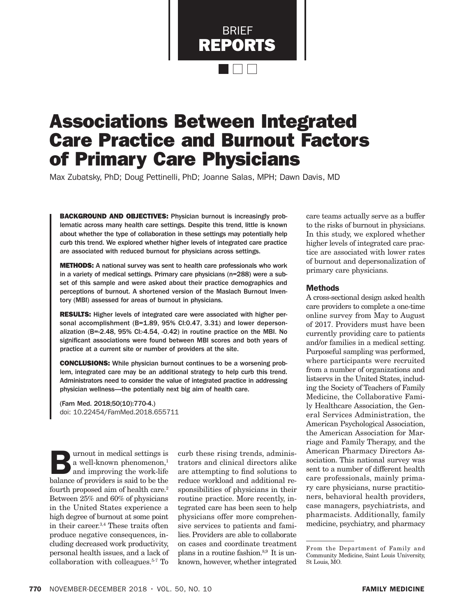REPORTS

BRIEF

# Associations Between Integrated Care Practice and Burnout Factors of Primary Care Physicians

Max Zubatsky, PhD; Doug Pettinelli, PhD; Joanne Salas, MPH; Dawn Davis, MD

BACKGROUND AND OBJECTIVES: Physician burnout is increasingly problematic across many health care settings. Despite this trend, little is known about whether the type of collaboration in these settings may potentially help curb this trend. We explored whether higher levels of integrated care practice are associated with reduced burnout for physicians across settings.

METHODS: A national survey was sent to health care professionals who work in a variety of medical settings. Primary care physicians (n=288) were a subset of this sample and were asked about their practice demographics and perceptions of burnout. A shortened version of the Maslach Burnout Inventory (MBI) assessed for areas of burnout in physicians.

RESULTS: Higher levels of integrated care were associated with higher personal accomplishment (B=1.89, 95% CI:0.47, 3.31) and lower depersonalization (B=-2.48, 95% CI:-4.54, -0.42) in routine practice on the MBI. No significant associations were found between MBI scores and both years of practice at a current site or number of providers at the site.

CONCLUSIONS: While physician burnout continues to be a worsening problem, integrated care may be an additional strategy to help curb this trend. Administrators need to consider the value of integrated practice in addressing physician wellness—the potentially next big aim of health care.

(Fam Med. 2018;50(10):770-4.) doi: 10.22454/FamMed.2018.655711

urnout in medical settings is a well-known phenomenon,<sup>1</sup> and improving the work-life balance of providers is said to be the fourth proposed aim of health care.<sup>2</sup> Between 25% and 60% of physicians in the United States experience a high degree of burnout at some point in their career.3,4 These traits often produce negative consequences, including decreased work productivity, personal health issues, and a lack of collaboration with colleagues.5-7 To

curb these rising trends, administrators and clinical directors alike are attempting to find solutions to reduce workload and additional responsibilities of physicians in their routine practice. More recently, integrated care has been seen to help physicians offer more comprehensive services to patients and families. Providers are able to collaborate on cases and coordinate treatment plans in a routine fashion.8,9 It is unknown, however, whether integrated care teams actually serve as a buffer to the risks of burnout in physicians. In this study, we explored whether higher levels of integrated care practice are associated with lower rates of burnout and depersonalization of primary care physicians.

## **Methods**

A cross-sectional design asked health care providers to complete a one-time online survey from May to August of 2017. Providers must have been currently providing care to patients and/or families in a medical setting. Purposeful sampling was performed, where participants were recruited from a number of organizations and listservs in the United States, including the Society of Teachers of Family Medicine, the Collaborative Family Healthcare Association, the General Services Administration, the American Psychological Association, the American Association for Marriage and Family Therapy, and the American Pharmacy Directors Association. This national survey was sent to a number of different health care professionals, mainly primary care physicians, nurse practitioners, behavioral health providers, case managers, psychiatrists, and pharmacists. Additionally, family medicine, psychiatry, and pharmacy

From the Department of Family and Community Medicine, Saint Louis University, St Louis, MO.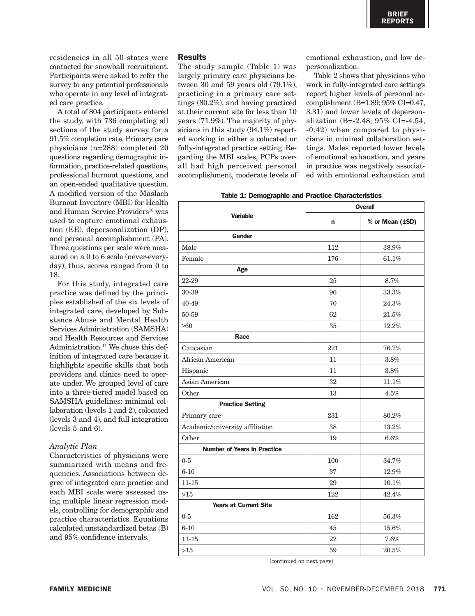residencies in all 50 states were contacted for snowball recruitment. Participants were asked to refer the survey to any potential professionals who operate in any level of integrated care practice.

A total of 804 participants entered the study, with 736 completing all sections of the study survey for a 91.5% completion rate. Primary care physicians (n=288) completed 20 questions regarding demographic information, practice-related questions, professional burnout questions, and an open-ended qualitative question. A modified version of the Maslach Burnout Inventory (MBI) for Health and Human Service Providers<sup>10</sup> was used to capture emotional exhaustion (EE), depersonalization (DP), and personal accomplishment (PA). Three questions per scale were measured on a 0 to 6 scale (never-everyday); thus, scores ranged from 0 to 18.

For this study, integrated care practice was defined by the principles established of the six levels of integrated care, developed by Substance Abuse and Mental Health Services Administration (SAMSHA) and Health Resources and Services Administration.11 We chose this definition of integrated care because it highlights specific skills that both providers and clinics need to operate under. We grouped level of care into a three-tiered model based on SAMSHA guidelines: minimal collaboration (levels 1 and 2), colocated (levels 3 and 4), and full integration (levels 5 and 6).

#### *Analytic Plan*

Characteristics of physicians were summarized with means and frequencies. Associations between degree of integrated care practice and each MBI scale were assessed using multiple linear regression models, controlling for demographic and practice characteristics. Equations calculated unstandardized betas (B) and 95% confidence intervals.

## Results

The study sample (Table 1) was largely primary care physicians between 30 and 59 years old (79.1%), practicing in a primary care settings (80.2%), and having practiced at their current site for less than 10 years (71.9%). The majority of physicians in this study (94.1%) reported working in either a colocated or fully-integrated practice setting. Regarding the MBI scales, PCPs overall had high perceived personal accomplishment, moderate levels of emotional exhaustion, and low depersonalization.

Table 2 shows that physicians who work in fully-integrated care settings report higher levels of personal accomplishment (B=1.89; 95% CI=0.47, 3.31) and lower levels of depersonalization (B=-2.48; 95% CI=-4.54, -0.42) when compared to physicians in minimal collaboration settings. Males reported lower levels of emotional exhaustion, and years in practice was negatively associated with emotional exhaustion and

| Table 1: Demographic and Practice Characteristics |
|---------------------------------------------------|
|---------------------------------------------------|

|                                    | <b>Overall</b> |                 |  |
|------------------------------------|----------------|-----------------|--|
| <b>Variable</b>                    | n              | % or Mean (±SD) |  |
| <b>Gender</b>                      |                |                 |  |
| Male                               | 112            | $38.9\%$        |  |
| Female                             | 176            | 61.1%           |  |
| Age                                |                |                 |  |
| 22-29                              | 25             | 8.7%            |  |
| 30-39                              | 96             | 33.3%           |  |
| 40-49                              | 70             | 24.3%           |  |
| 50-59                              | 62             | 21.5%           |  |
| $\geq 60$                          | 35             | 12.2%           |  |
| Race                               |                |                 |  |
| Caucasian                          | 221            | 76.7%           |  |
| African American                   | 11             | 3.8%            |  |
| Hispanic                           | 11             | 3.8%            |  |
| Asian American                     | 32             | 11.1%           |  |
| Other                              | 13             | 4.5%            |  |
| <b>Practice Setting</b>            |                |                 |  |
| Primary care                       | 231            | 80.2%           |  |
| Academic/university affiliation    | 38             | 13.2%           |  |
| Other                              | 19             | $6.6\%$         |  |
| <b>Number of Years in Practice</b> |                |                 |  |
| $0 - 5$                            | 100            | 34.7%           |  |
| $6-10$                             | 37             | 12.9%           |  |
| $11 - 15$                          | 29             | 10.1%           |  |
| $>15$                              | 122            | 42.4%           |  |
| <b>Years at Current Site</b>       |                |                 |  |
| $0-5$                              | 162            | 56.3%           |  |
| $6-10$                             | 45             | 15.6%           |  |
| $11 - 15$                          | 22             | 7.6%            |  |
| >15                                | 59             | 20.5%           |  |

(continued on next page)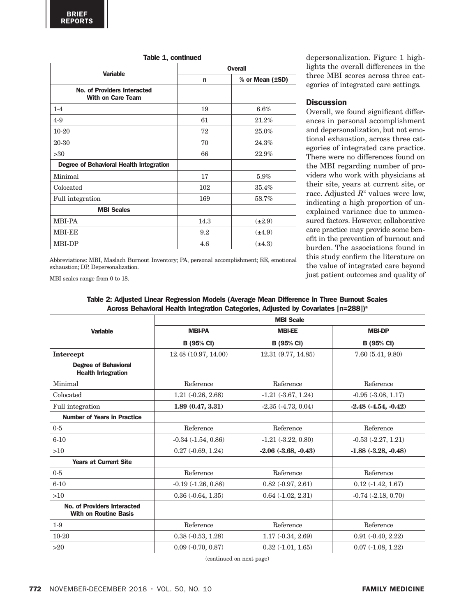|                                                                | <b>Overall</b> |                 |  |
|----------------------------------------------------------------|----------------|-----------------|--|
| <b>Variable</b>                                                | n              | % or Mean (±SD) |  |
| <b>No. of Providers Interacted</b><br><b>With on Care Team</b> |                |                 |  |
| $1-4$                                                          | 19             | 6.6%            |  |
| $4-9$                                                          | 61             | 21.2%           |  |
| $10 - 20$                                                      | 72             | 25.0%           |  |
| 20-30                                                          | 70             | 24.3%           |  |
| >30                                                            | 66             | 22.9%           |  |
| Degree of Behavioral Health Integration                        |                |                 |  |
| Minimal                                                        | 17             | 5.9%            |  |
| Colocated                                                      | 102            | 35.4%           |  |
| Full integration                                               | 169            | 58.7%           |  |
| <b>MBI Scales</b>                                              |                |                 |  |
| <b>MBI-PA</b>                                                  | 14.3           | $(\pm 2.9)$     |  |
| <b>MBI-EE</b>                                                  | 9.2            | $(\pm 4.9)$     |  |
| MBI-DP                                                         | 4.6            | $(\pm 4.3)$     |  |

Table 1, continued

depersonalization. Figure 1 highlights the overall differences in the three MBI scores across three categories of integrated care settings.

## **Discussion**

Overall, we found significant differences in personal accomplishment and depersonalization, but not emotional exhaustion, across three categories of integrated care practice. There were no differences found on the MBI regarding number of providers who work with physicians at their site, years at current site, or race. Adjusted  $R^2$  values were low, indicating a high proportion of unexplained variance due to unmeasured factors. However, collaborative care practice may provide some benefit in the prevention of burnout and burden. The associations found in this study confirm the literature on the value of integrated care beyond just patient outcomes and quality of

Abbreviations: MBI, Maslach Burnout Inventory; PA, personal accomplishment; EE, emotional exhaustion; DP, Depersonalization.

MBI scales range from 0 to 18.

| Table 2: Adjusted Linear Regression Models (Average Mean Difference in Three Burnout Scales |                                                                                               |  |  |
|---------------------------------------------------------------------------------------------|-----------------------------------------------------------------------------------------------|--|--|
|                                                                                             | Across Behavioral Health Integration Categories, Adjusted by Covariates [n=288]) <sup>a</sup> |  |  |

|                                                             | <b>MBI Scale</b>            |                          |                          |
|-------------------------------------------------------------|-----------------------------|--------------------------|--------------------------|
| <b>Variable</b>                                             | <b>MBI-PA</b>               | <b>MBI-EE</b>            | <b>MBI-DP</b>            |
|                                                             | <b>B</b> (95% CI)           | <b>B</b> (95% CI)        | <b>B</b> (95% CI)        |
| Intercept                                                   | 12.48 (10.97, 14.00)        | 12.31 (9.77, 14.85)      | 7.60(5.41, 9.80)         |
| <b>Degree of Behavioral</b><br><b>Health Integration</b>    |                             |                          |                          |
| Minimal                                                     | Reference                   | Reference                | Reference                |
| Colocated                                                   | $1.21 (-0.26, 2.68)$        | $-1.21$ $(-3.67, 1.24)$  | $-0.95$ $(-3.08, 1.17)$  |
| <b>Full integration</b>                                     | 1.89(0.47, 3.31)            | $-2.35(-4.73, 0.04)$     | $-2.48$ $(-4.54, -0.42)$ |
| <b>Number of Years in Practice</b>                          |                             |                          |                          |
| $0-5$                                                       | Reference                   | Reference                | Reference                |
| $6 - 10$                                                    | $-0.34$ $(-1.54, 0.86)$     | $-1.21(-3.22, 0.80)$     | $-0.53$ $(-2.27, 1.21)$  |
| >10                                                         | $0.27$ ( $-0.69$ , $1.24$ ) | $-2.06$ $(-3.68, -0.43)$ | $-1.88$ $(-3.28, -0.48)$ |
| <b>Years at Current Site</b>                                |                             |                          |                          |
| $0 - 5$                                                     | Reference                   | Reference                | Reference                |
| $6 - 10$                                                    | $-0.19(-1.26, 0.88)$        | $0.82$ ( $-0.97, 2.61$ ) | $0.12(-1.42, 1.67)$      |
| >10                                                         | $0.36$ $(-0.64, 1.35)$      | $0.64$ $(-1.02, 2.31)$   | $-0.74$ $(-2.18, 0.70)$  |
| No. of Providers Interacted<br><b>With on Routine Basis</b> |                             |                          |                          |
| $1-9$                                                       | Reference                   | Reference                | Reference                |
| 10-20                                                       | $0.38(-0.53, 1.28)$         | $1.17(-0.34, 2.69)$      | $0.91 (-0.40, 2.22)$     |
| >20                                                         | $0.09$ (-0.70, 0.87)        | $0.32$ $(-1.01, 1.65)$   | $0.07 (-1.08, 1.22)$     |

(continued on next page)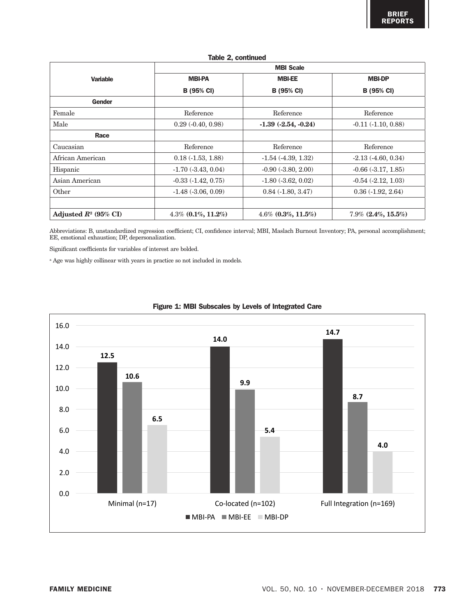|                         | <b>MBI Scale</b>               |                          |                           |  |
|-------------------------|--------------------------------|--------------------------|---------------------------|--|
| <b>Variable</b>         | <b>MBI-PA</b><br><b>MBI-EE</b> |                          | <b>MBI-DP</b>             |  |
|                         | <b>B</b> (95% CI)              | <b>B</b> (95% CI)        | <b>B</b> (95% CI)         |  |
| Gender                  |                                |                          |                           |  |
| Female                  | Reference                      | Reference                | Reference                 |  |
| Male                    | $0.29$ ( $-0.40$ , $0.98$ )    | $-1.39$ $(-2.54, -0.24)$ | $-0.11(-1.10, 0.88)$      |  |
| Race                    |                                |                          |                           |  |
| Caucasian               | Reference                      | Reference                | Reference                 |  |
| African American        | $0.18(-1.53, 1.88)$            | $-1.54$ $(-4.39, 1.32)$  | $-2.13(-4.60, 0.34)$      |  |
| Hispanic                | $-1.70(-3.43, 0.04)$           | $-0.90(-3.80, 2.00)$     | $-0.66$ $(-3.17, 1.85)$   |  |
| Asian American          | $-0.33(-1.42, 0.75)$           | $-1.80$ $(-3.62, 0.02)$  | $-0.54$ $(-2.12, 1.03)$   |  |
| Other                   | $-1.48$ $(-3.06, 0.09)$        | $0.84$ $(-1.80, 3.47)$   | $0.36(-1.92, 2.64)$       |  |
|                         |                                |                          |                           |  |
| Adjusted $R^2$ (95% CI) | $4.3\%$ (0.1%, 11.2%)          | $4.6\%$ (0.3%, 11.5%)    | $7.9\%$ $(2.4\%, 15.5\%)$ |  |

Table 2, continued

Abbreviations: B, unstandardized regression coefficient; CI, confidence interval; MBI, Maslach Burnout Inventory; PA, personal accomplishment; EE, emotional exhaustion; DP, depersonalization.

Significant coefficients for variables of interest are bolded.

<sup>a</sup> Age was highly collinear with years in practice so not included in models.



# Figure 1: MBI Subscales by Levels of Integrated Care